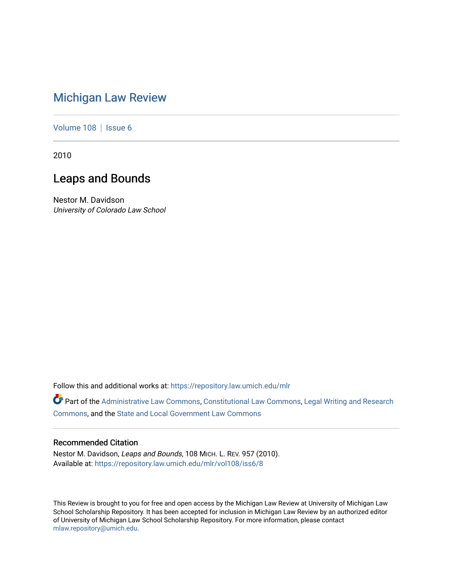# [Michigan Law Review](https://repository.law.umich.edu/mlr)

[Volume 108](https://repository.law.umich.edu/mlr/vol108) | [Issue 6](https://repository.law.umich.edu/mlr/vol108/iss6)

2010

# Leaps and Bounds

Nestor M. Davidson University of Colorado Law School

Follow this and additional works at: [https://repository.law.umich.edu/mlr](https://repository.law.umich.edu/mlr?utm_source=repository.law.umich.edu%2Fmlr%2Fvol108%2Fiss6%2F8&utm_medium=PDF&utm_campaign=PDFCoverPages) 

Part of the [Administrative Law Commons,](http://network.bepress.com/hgg/discipline/579?utm_source=repository.law.umich.edu%2Fmlr%2Fvol108%2Fiss6%2F8&utm_medium=PDF&utm_campaign=PDFCoverPages) [Constitutional Law Commons,](http://network.bepress.com/hgg/discipline/589?utm_source=repository.law.umich.edu%2Fmlr%2Fvol108%2Fiss6%2F8&utm_medium=PDF&utm_campaign=PDFCoverPages) [Legal Writing and Research](http://network.bepress.com/hgg/discipline/614?utm_source=repository.law.umich.edu%2Fmlr%2Fvol108%2Fiss6%2F8&utm_medium=PDF&utm_campaign=PDFCoverPages) [Commons](http://network.bepress.com/hgg/discipline/614?utm_source=repository.law.umich.edu%2Fmlr%2Fvol108%2Fiss6%2F8&utm_medium=PDF&utm_campaign=PDFCoverPages), and the [State and Local Government Law Commons](http://network.bepress.com/hgg/discipline/879?utm_source=repository.law.umich.edu%2Fmlr%2Fvol108%2Fiss6%2F8&utm_medium=PDF&utm_campaign=PDFCoverPages)

### Recommended Citation

Nestor M. Davidson, Leaps and Bounds, 108 MICH. L. REV. 957 (2010). Available at: [https://repository.law.umich.edu/mlr/vol108/iss6/8](https://repository.law.umich.edu/mlr/vol108/iss6/8?utm_source=repository.law.umich.edu%2Fmlr%2Fvol108%2Fiss6%2F8&utm_medium=PDF&utm_campaign=PDFCoverPages) 

This Review is brought to you for free and open access by the Michigan Law Review at University of Michigan Law School Scholarship Repository. It has been accepted for inclusion in Michigan Law Review by an authorized editor of University of Michigan Law School Scholarship Repository. For more information, please contact [mlaw.repository@umich.edu.](mailto:mlaw.repository@umich.edu)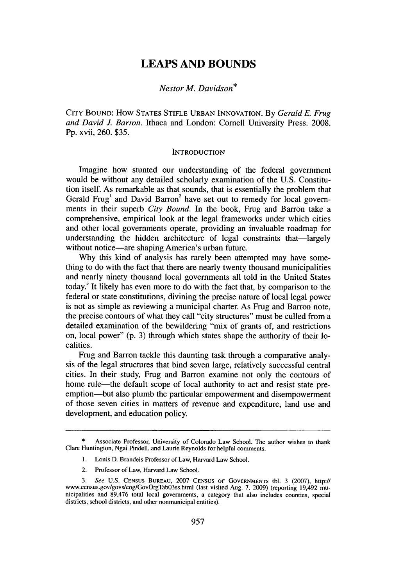## **LEAPS AND BOUNDS**

### *Nestor M. Davidson\**

**CITY BOUND:** How **STATES STIFLE URBAN INNOVATION.** By *Gerald E. Frug and David J. Barron.* Ithaca and London: Cornell University Press. 2008. Pp. xvii, 260. \$35.

#### **INTRODUCTION**

Imagine how stunted our understanding of the federal government would be without any detailed scholarly examination of the U.S. Constitution itself. As remarkable as that sounds, that is essentially the problem that Gerald Frug<sup>1</sup> and David Barron<sup>2</sup> have set out to remedy for local governments in their superb *City Bound.* In the book, Frug and Barron take a comprehensive, empirical look at the legal frameworks under which cities and other local governments operate, providing an invaluable roadmap for understanding the hidden architecture of legal constraints that—largely without notice—are shaping America's urban future.

Why this kind of analysis has rarely been attempted may have something to do with the fact that there are nearly twenty thousand municipalities and nearly ninety thousand local governments all told in the United States today.3 It likely has even more to do with the fact that, by comparison to the federal or state constitutions, divining the precise nature of local legal power is not as simple as reviewing a municipal charter. As Frug and Barron note, the precise contours of what they call "city structures" must be culled from a detailed examination of the bewildering "mix of grants of, and restrictions on, local power" (p. 3) through which states shape the authority of their localities.

Frug and Barron tackle this daunting task through a comparative analysis of the legal structures that bind seven large, relatively successful central cities. In their study, Frug and Barron examine not only the contours of home rule—the default scope of local authority to act and resist state preemption-but also plumb the particular empowerment and disempowerment of those seven cities in matters of revenue and expenditure, land use and development, and education policy.

- 1. Louis D. Brandeis Professor of Law, Harvard Law School.
- 2. Professor of Law, Harvard Law School.

Associate Professor, University of Colorado Law School. The author wishes to thank Clare Huntington, Ngai Pindell, and Laurie Reynolds for helpful comments.

*<sup>3.</sup>* See U.S. CENSUS **BUREAU,** 2007 **CENSUS** OF **GOVERNMENTS** tbl. 3 (2007), http:/ www.census.gov/govs/cog/GovOrgTabO3ss.html (last visited Aug. 7, 2009) (reporting 19,492 municipalities and 89,476 total local governments, a category that also includes counties, special districts, school districts, and other nonmunicipal entities).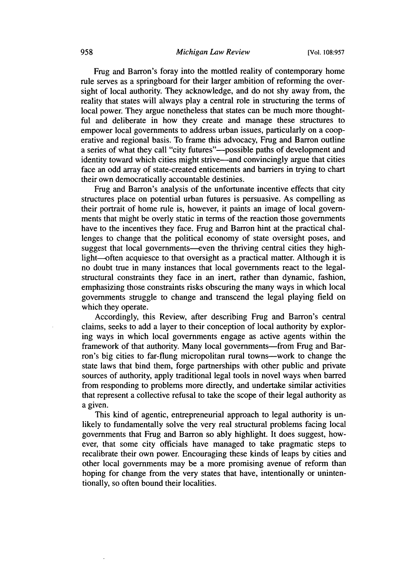Frug and Barron's foray into the mottled reality of contemporary home rule serves as a springboard for their larger ambition of reforming the oversight of local authority. They acknowledge, and do not shy away from, the reality that states will always play a central role in structuring the terms of local power. They argue nonetheless that states can be much more thoughtful and deliberate in how they create and manage these structures to empower local governments to address urban issues, particularly on a cooperative and regional basis. To frame this advocacy, Frug and Barron outline a series of what they call "city futures"—possible paths of development and identity toward which cities might strive—and convincingly argue that cities face an odd array of state-created enticements and barriers in trying to chart their own democratically accountable destinies.

Frug and Barron's analysis of the unfortunate incentive effects that city structures place on potential urban futures is persuasive. As compelling as their portrait of home rule is, however, it paints an image of local governments that might be overly static in terms of the reaction those governments have to the incentives they face. Frug and Barron hint at the practical challenges to change that the political economy of state oversight poses, and suggest that local governments—even the thriving central cities they highlight--often acquiesce to that oversight as a practical matter. Although it is no doubt true in many instances that local governments react to the legalstructural constraints they face in an inert, rather than dynamic, fashion, emphasizing those constraints risks obscuring the many ways in which local governments struggle to change and transcend the legal playing field on which they operate.

Accordingly, this Review, after describing Frug and Barron's central claims, seeks to add a layer to their conception of local authority by exploring ways in which local governments engage as active agents within the framework of that authority. Many local governments—from Frug and Barron's big cities to far-flung micropolitan rural towns-work to change the state laws that bind them, forge partnerships with other public and private sources of authority, apply traditional legal tools in novel ways when barred from responding to problems more directly, and undertake similar activities that represent a collective refusal to take the scope of their legal authority as a given.

This kind of agentic, entrepreneurial approach to legal authority is unlikely to fundamentally solve the very real structural problems facing local governments that Frug and Barron so ably highlight. It does suggest, however, that some city officials have managed to take pragmatic steps to recalibrate their own power. Encouraging these kinds of leaps by cities and other local governments may be a more promising avenue of reform than hoping for change from the very states that have, intentionally or unintentionally, so often bound their localities.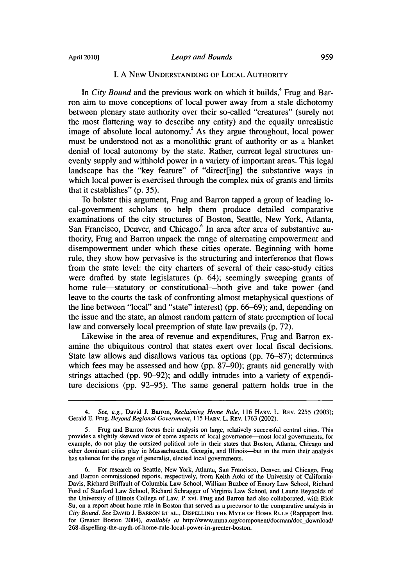#### *Leaps and Bounds*

#### **I.** A NEW UNDERSTANDING OF LOCAL AUTHORITY

In *City Bound* and the previous work on which it builds,<sup>4</sup> Frug and Barron aim to move conceptions of local power away from a stale dichotomy between plenary state authority over their so-called "creatures" (surely not the most flattering way to describe any entity) and the equally unrealistic image of absolute local autonomy.' As they argue throughout, local power must be understood not as a monolithic grant of authority or as a blanket denial of local autonomy by the state. Rather, current legal structures unevenly supply and withhold power in a variety of important areas. This legal landscape has the "key feature" of "direct[ing] the substantive ways in which local power is exercised through the complex mix of grants and limits that it establishes" (p. 35).

To bolster this argument, Frug and Barron tapped a group of leading local-government scholars to help them produce detailed comparative examinations of the city structures of Boston, Seattle, New York, Atlanta, San Francisco, Denver, and Chicago.<sup>6</sup> In area after area of substantive authority, Frug and Barron unpack the range of alternating empowerment and disempowerment under which these cities operate. Beginning with home rule, they show how pervasive is the structuring and interference that flows from the state level: the city charters of several of their case-study cities were drafted by state legislatures (p. 64); seemingly sweeping grants of home rule—statutory or constitutional—both give and take power (and leave to the courts the task of confronting almost metaphysical questions of the line between "local" and "state" interest) (pp. 66-69); and, depending on the issue and the state, an almost random pattern of state preemption of local law and conversely local preemption of state law prevails (p. 72).

Likewise in the area of revenue and expenditures, Frug and Barron examine the ubiquitous control that states exert over local fiscal decisions. State law allows and disallows various tax options (pp. 76-87); determines which fees may be assessed and how (pp. 87-90); grants aid generally with strings attached (pp. 90-92); and oddly intrudes into a variety of expenditure decisions (pp. 92-95). The same general pattern holds true in the

*<sup>4.</sup> See, e.g.,* David J. Barron, *Reclaiming Home Rule,* 116 HARV. L. REV. 2255 (2003); Gerald E. Frug, *Beyond Regional Government,* 115 HARV. L. REV. 1763 (2002).

*<sup>5.</sup>* Frug and Barron focus their analysis on large, relatively successful central cities. This provides a slightly skewed view of some aspects of local governance-most local governments, for example, do not play the outsized political role in their states that Boston, Atlanta, Chicago and other dominant cities play in Massachusetts, Georgia, and Illinois-but in the main their analysis has salience for the range of generalist, elected local governments.

<sup>6.</sup> For research on Seattle, New York, Atlanta, San Francisco, Denver, and Chicago, Frug and Bar-on commissioned reports, respectively, from Keith Aoki of the University of California-Davis, Richard Briffault of Columbia Law School, William Buzbee of Emory Law School, Richard Ford of Stanford Law School, Richard Schragger of Virginia Law School, and Laurie Reynolds of the University of Illinois College of Law. P. xvi. Frug and Barron had also collaborated, with Rick Su, on a report about home rule in Boston that served as a precursor to the comparative analysis in *City Bound. See* **DAVID J.** BARRON **ET AL.,** DISPELLING **THE MYTH** OF HOME RULE (Rappaport Inst. for Greater Boston 2004), *available at* http://www.mma.org/component/docman/doc-download/ 268-dispelling-the-myth-of-home-rule-local-power-in-greater-boston.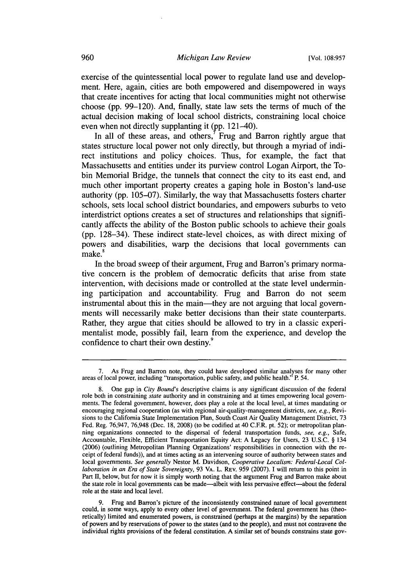exercise of the quintessential local power to regulate land use and development. Here, again, cities are both empowered and disempowered in ways that create incentives for acting that local communities might not otherwise choose **(pp. 99-120).** And, finally, state law sets the terms of much of the actual decision making of local school districts, constraining local choice even when not directly supplanting it **(pp.** 121-40).

In all of these areas, and others, $\overline{y}$  Frug and Barron rightly argue that states structure local power not only directly, but through a myriad of indirect institutions and policy choices. Thus, for example, the fact that Massachusetts and entities under its purview control Logan Airport, the Tobin Memorial Bridge, the tunnels that connect the city to its east end, and much other important property creates a gaping hole in Boston's land-use authority **(pp. 105-07).** Similarly, the way that Massachusetts fosters charter schools, sets local school district boundaries, and empowers suburbs to veto interdistrict options creates a set of structures and relationships that significantly affects the ability of the Boston public schools to achieve their goals **(pp.** 128-34). These indirect state-level choices, as with direct mixing of powers and disabilities, warp the decisions that local governments can make.<sup>8</sup>

In the broad sweep of their argument, Frug and Barron's primary normative concern is the problem of democratic deficits that arise from state intervention, with decisions made or controlled at the state level undermining participation and accountability. Frug and Barron do not seem instrumental about this in the main-they are not arguing that local governments will necessarily make better decisions than their state counterparts. Rather, they argue that cities should be allowed to try in a classic experimentalist mode, possibly fail, learn from the experience, and develop the confidence to chart their own destiny.<sup>9</sup>

**9.** Frug and Barron's picture of the inconsistently constrained nature of local government could, in some ways, apply to every other level of government. The federal government has (theoretically) limited and enumerated powers, is constrained (perhaps at the margins) **by** the separation of powers and **by** reservations of power to the states (and to the people), and must not contravene the individual rights provisions of the federal constitution. **A** similar set of bounds constrains state gov-

**<sup>7.</sup>** As Frug and Barron note, they could have developed similar analyses for many other areas of local power, including "transportation, public safety, and public health." P. 54.

**<sup>8.</sup>** One gap in *City Bound's* descriptive claims is any significant discussion of the federal role both in constraining *state* authority and in constraining and at times empowering local **govern**ments. The federal government, however, does play a role at the local level, at times mandating or encouraging regional cooperation (as with regional air-quality-management districts, *see, e.g.,* Revisions to the California State Implementation Plan, South Coast Air Quality Management District, **73** Fed. Reg. **76,947, 76,948** (Dec. **18, 2008)** (to be codified at 40 C.FR. pt. **52);** or metropolitan planning organizations connected to the dispersal of federal transportation funds, *see, e.g.,* Safe, Accountable, Flexible, Efficient Transportation Equity Act: **A** Legacy for Users, **23 U.S.C. §** 134 **(2006)** (outlining Metropolitan Planning Organizations' responsibilities in connection with the receipt of federal funds)), and at times acting as an intervening source of authority between states and local governments. *See generally* Nestor M. Davidson, *Cooperative Localism: Federal-Local Collaboration in an Era of State Sovereignty,* **93** VA. L. REv. **959 (2007). I** will return to this point in Part II, below, but for now it is simply worth noting that the argument Frug and Barron make about the state role in local governments can be made-albeit with less pervasive effect-about the federal role at the state and local level.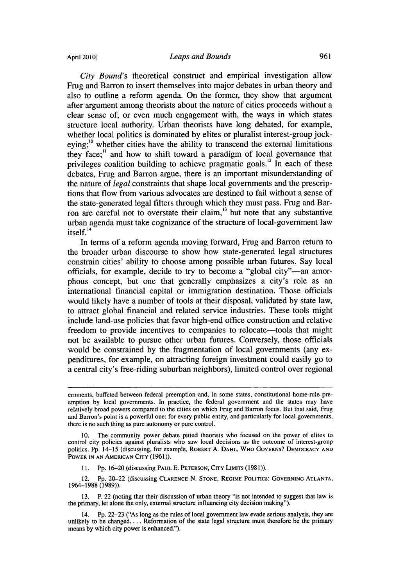April 2010]

*City Bound's* theoretical construct and empirical investigation allow Frug and Barron to insert themselves into major debates in urban theory and also to outline a reform agenda. On the former, they show that argument after argument among theorists about the nature of cities proceeds without a clear sense of, or even much engagement with, the ways in which states structure local authority. Urban theorists have long debated, for example, whether local politics is dominated by elites or pluralist interest-group jockeying;<sup>10</sup> whether cities have the ability to transcend the external limitations they face:" and how to shift toward a paradigm of local governance that privileges coalition building to achieve pragmatic goals.<sup>12</sup> In each of these debates, Frug and Barron argue, there is an important misunderstanding of the nature of *legal* constraints that shape local governments and the prescriptions that flow from various advocates are destined to fail without a sense of the state-generated legal filters through which they must pass. Frug and Barron are careful not to overstate their claim, $^{13}$  but note that any substantive urban agenda must take cognizance of the structure of local-government law itself.<sup>14</sup>

In terms of a reform agenda moving forward, Frug and Barron return to the broader urban discourse to show how state-generated legal structures constrain cities' ability to choose among possible urban futures. Say local officials, for example, decide to try to become a "global city"-an amorphous concept, but one that generally emphasizes a city's role as an international financial capital or immigration destination. Those officials would likely have a number of tools at their disposal, validated by state law, to attract global financial and related service industries. These tools might include land-use policies that favor high-end office construction and relative freedom to provide incentives to companies to relocate—tools that might not be available to pursue other urban futures. Conversely, those officials would be constrained by the fragmentation of local governments (any expenditures, for example, on attracting foreign investment could easily go to a central city's free-riding suburban neighbors), limited control over regional

11. **Pp. 16-20 (discussing PAUL E. PETERSON, CITY LIMITS (1981)).** 

12. Pp. 20-22 (discussing **CLARENCE N.** STONE, REGIME POLITICS: **GOVERNING ATLANTA,** 1964-1988 (1989)).

**13.** P. 22 (noting that their discussion of urban theory "is not intended to suggest that law is the primary, let alone the only, external structure influencing city decision making").

14. Pp. 22-23 ("As long as the rules of local government law evade serious analysis, they are unlikely to be changed.... Reformation of the state legal structure must therefore be the primary means **by** which city power is enhanced.").

emments, buffeted between federal preemption and, in some states, constitutional home-rule preemption by local governments. In practice, the federal government and the states may have relatively broad powers compared to the cities on which Frug and Barron focus. But that said, Frug and Barron's point is a powerful one: for every public entity, and particularly for local governments, there is no such thing as pure autonomy or pure control.

The community power debate pitted theorists who focused on the power of elites to control city policies against pluralists who saw local decisions as the outcome of interest-group politics. Pp. 14-15 (discussing, for example, ROBERT A. **DAHL,** WHO **GOVERNS?** DEMOCRACY **AND** POWER IN AN AMERICAN CITY (1961)).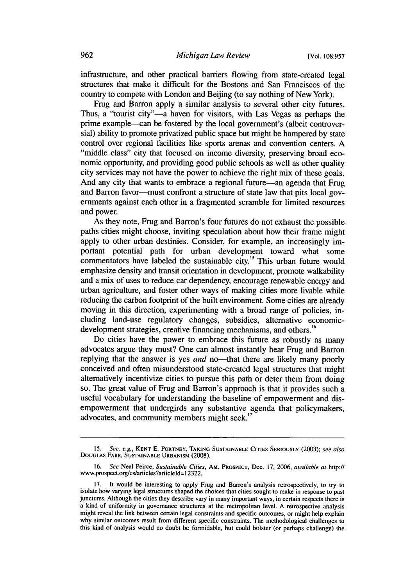infrastructure, and other practical barriers flowing from state-created legal structures that make it difficult for the Bostons and San Franciscos of the country to compete with London and Beijing (to say nothing of New York).

Frug and Barron apply a similar analysis to several other city futures. Thus, a "tourist city"—a haven for visitors, with Las Vegas as perhaps the prime example--can be fostered by the local government's (albeit controversial) ability to promote privatized public space but might be hampered by state control over regional facilities like sports arenas and convention centers. A "middle class" city that focused on income diversity, preserving broad economic opportunity, and providing good public schools as well as other quality city services may not have the power to achieve the right mix of these goals. And any city that wants to embrace a regional future—an agenda that Frug and Barron favor---must confront a structure of state law that pits local governments against each other in a fragmented scramble for limited resources and power.

As they note, Frug and Barron's four futures do not exhaust the possible paths cities might choose, inviting speculation about how their frame might apply to other urban destinies. Consider, for example, an increasingly important potential path for urban development toward what some commentators have labeled the sustainable city.<sup>15</sup> This urban future would emphasize density and transit orientation in development, promote walkability and a mix of uses to reduce car dependency, encourage renewable energy and urban agriculture, and foster other ways of making cities more livable while reducing the carbon footprint of the built environment. Some cities are already moving in this direction, experimenting with a broad range of policies, including land-use regulatory changes, subsidies, alternative economicdevelopment strategies, creative financing mechanisms, and others.<sup>16</sup>

Do cities have the power to embrace this future as robustly as many advocates argue they must? One can almost instantly hear Frug and Barron replying that the answer is yes *and* no-that there are likely many poorly conceived and often misunderstood state-created legal structures that might alternatively incentivize cities to pursue this path or deter them from doing so. The great value of Frug and Barron's approach is that it provides such a useful vocabulary for understanding the baseline of empowerment and disempowerment that undergirds any substantive agenda that policymakers, advocates, and community members might seek.<sup>17</sup>

<sup>15.</sup> *See, e.g.,* **KENT E.** PORTNEY, **TAKING SUSTAINABLE CITIES SERIOUSLY** (2003); *see also* DOUGLAS FARR, **SUSTAINABLE** URBANISM (2008).

**<sup>16.</sup>** *See* Neal Peirce, *Sustainable Cities,* AM. PROSPECT, Dec. **17,** 2006, *available at* http:II www.prospect.org/cs/articles?articleld=l 2322.

It would be interesting to apply Frug and Barron's analysis retrospectively, to try to isolate how varying legal structures shaped the choices that cities sought to make in response to past junctures. Although the cities they describe vary in many important ways, in certain respects there is a kind of uniformity in governance structures at the metropolitan level. A retrospective analysis might reveal the link between certain legal constraints and specific outcomes, or might help explain why similar outcomes result from different specific constraints. The methodological challenges to this kind of analysis would no doubt be formidable, but could bolster (or perhaps challenge) the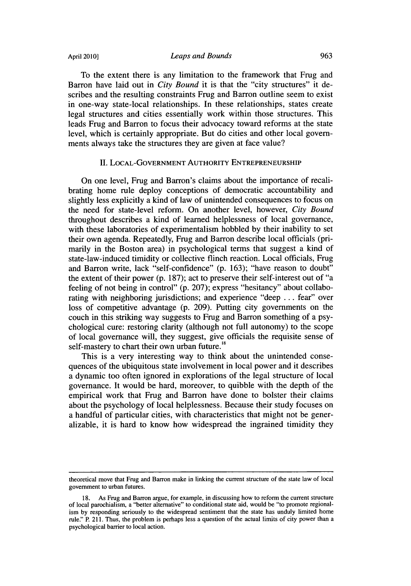April **2010]**

To the extent there is any limitation to the framework that Frug and Barron have laid out in *City Bound* it is that the "city structures" it describes and the resulting constraints Frug and Barron outline seem to exist in one-way state-local relationships. In these relationships, states create legal structures and cities essentially work within those structures. This leads Frug and Barron to focus their advocacy toward reforms at the state level, which is certainly appropriate. But do cities and other local governments always take the structures they are given at face value?

#### II. LOCAL-GOVERNMENT AUTHORITY ENTREPRENEURSHIP

On one level, Frug and Barron's claims about the importance of recalibrating home rule deploy conceptions of democratic accountability and slightly less explicitly a kind of law of unintended consequences to focus on the need for state-level reform. On another level, however, *City Bound* throughout describes a kind of learned helplessness of local governance, with these laboratories of experimentalism hobbled by their inability to set their own agenda. Repeatedly, Frug and Barron describe local officials (primarily in the Boston area) in psychological terms that suggest a kind of state-law-induced timidity or collective flinch reaction. Local officials, Frug and Barron write, lack "self-confidence" (p. 163); "have reason to doubt" the extent of their power (p. 187); act to preserve their self-interest out of "a feeling of not being in control" (p. 207); express "hesitancy" about collaborating with neighboring jurisdictions; and experience "deep ... fear" over loss of competitive advantage (p. 209). Putting city governments on the couch in this striking way suggests to Frug and Barron something of a psychological cure: restoring clarity (although not full autonomy) to the scope of local governance will, they suggest, give officials the requisite sense of self-mastery to chart their own urban future.<sup>18</sup>

This is a very interesting way to think about the unintended consequences of the ubiquitous state involvement in local power and it describes a dynamic too often ignored in explorations of the legal structure of local governance. It would be hard, moreover, to quibble with the depth of the empirical work that Frug and Barron have done to bolster their claims about the psychology of local helplessness. Because their study focuses on a handful of particular cities, with characteristics that might not be generalizable, it is hard to know how widespread the ingrained timidity they

theoretical move that Frug and Barron make in linking the current structure of the state law of local government to urban futures.

As Frug and Barron argue, for example, in discussing how to reform the current structure of local parochialism, a "better alternative" to conditional state aid, would be "to promote regionalism by responding seriously to the widespread sentiment that the state has unduly limited home rule." P. 211. Thus, the problem is perhaps less a question of the actual limits of city power than a psychological barrier to local action.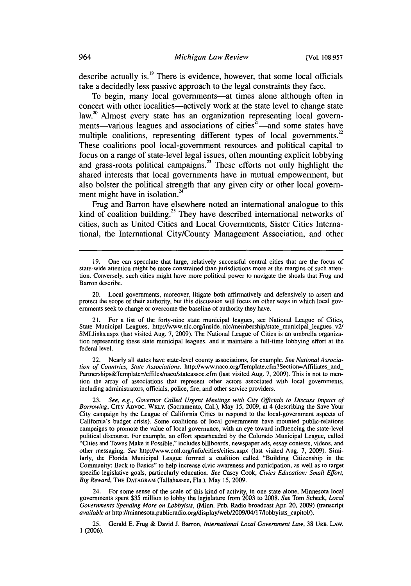describe actually is.'9 There is evidence, however, that some local officials take a decidedly less passive approach to the legal constraints they face.

To begin, many local governments—at times alone although often in concert with other localities-actively work at the state level to change state law.<sup>20</sup> Almost every state has an organization representing local governments—various leagues and associations of cities<sup>21</sup>—and some states have<br>multiple coalitions, representing different types of local governments.<sup>22</sup> These coalitions pool local-government resources and political capital to focus on a range of state-level legal issues, often mounting explicit lobbying and grass-roots political campaigns.<sup>23</sup> These efforts not only highlight the shared interests that local governments have in mutual empowerment, but also bolster the political strength that any given city or other local government might have in isolation. $^{24}$ 

Frug and Barron have elsewhere noted an international analogue to this kind of coalition building.<sup>25</sup> They have described international networks of cities, such as United Cities and Local Governments, Sister Cities International, the International City/County Management Association, and other

22. Nearly all states have state-level county associations, for example. *See National Association of Countries, State Associations,* http://www.naco.org/Template.cfm?Section=Affiliates and\_ Partnerships&Template=/cffiles/naco/stateassoc.cfm (last visited Aug. 7, 2009). This is not to mention the array of associations that represent other actors associated with local governments, including administrators, officials, police, fire, and other service providers.

23. *See, e.g., Governor Called Urgent Meetings with City Officials to Discuss Impact of Borrowing,* Crry ADvoc. WKLy. (Sacramento, Cal.), May 15, 2009, at 4 (describing the Save Your City campaign by the League of California Cities to respond to the local-government aspects of California's budget crisis). Some coalitions of local governments have mounted public-relations campaigns to promote the value of local governance, with an eye toward influencing the state-level political discourse. For example, an effort spearheaded by the Colorado Municipal League, called "Cities and Towns Make it Possible," includes billboards, newspaper ads, essay contests, videos, and other messaging. *See* http://www.cml.org/info/cities/cities.aspx (last visited Aug. 7, 2009). Similarly, the Florida Municipal League formed a coalition called "Building Citizenship in the Community: Back to Basics" to help increase civic awareness and participation, as well as to target specific legislative goals, particularly education. *See* Casey Cook, *Civics Education: Small Effort, Big Reward,* THE DATAGRAM (Tallahassee, Fla.), May 15, 2009.

24. For some sense of the scale of this kind of activity, in one state alone, Minnesota local governments spent \$35 million to lobby the legislature from 2003 to 2008. *See* Tom Scheck, *Local Governments Spending More on Lobbyists,* (Minn. Pub. Radio broadcast Apr. 20, 2009) (transcript *available at* http://minnesota.publicradio.org/display/web/2009/04117/lobbyists-capitolV).

25. Gerald E. Frug & David J. Barron, *International Local Government Law,* 38 URB. LAW. 1 (2006).

<sup>19.</sup> One can speculate that large, relatively successful central cities that are the focus of state-wide attention might be more constrained than jurisdictions more at the margins of such attention. Conversely, such cities might have more political power to navigate the shoals that Frug and Barron describe.

<sup>20.</sup> Local governments, moreover, litigate both affirmatively and defensively to assert and protect the scope of their authority, but this discussion will focus on other ways in which local govemments seek to change or overcome the baseline of authority they have.

For a list of the forty-nine state municipal leagues, see National League of Cities, State Municipal Leagues, http://www.nlc.org/inside\_nlc/membership/state\_municipal\_leagues\_v2/ SMLlinks.aspx (last visited Aug. 7, 2009). The National League of Cities is an umbrella organization representing these state municipal leagues, and it maintains a full-time lobbying effort at the federal level.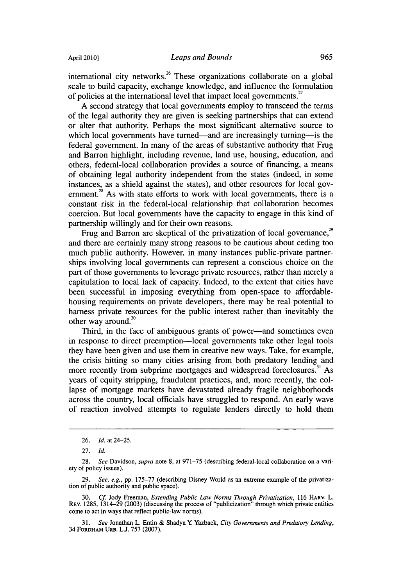international city networks.<sup>26</sup> These organizations collaborate on a global scale to build capacity, exchange knowledge, and influence the formulation of policies at the international level that impact local governments.<sup>27</sup>

A second strategy that local governments employ to transcend the terms of the legal authority they are given is seeking partnerships that can extend or alter that authority. Perhaps the most significant alternative source to which local governments have turned—and are increasingly turning—is the federal government. In many of the areas of substantive authority that Frug and Barron highlight, including revenue, land use, housing, education, and others, federal-local collaboration provides a source of financing, a means of obtaining legal authority independent from the states (indeed, in some instances, as a shield against the states), and other resources for local government.<sup>28</sup> As with state efforts to work with local governments, there is a constant risk in the federal-local relationship that collaboration becomes coercion. But local governments have the capacity to engage in this kind of

partnership willingly and for their own reasons.<br>*Frug and Barron are skeptical of the privatization of local governance.***<sup>29</sup>** and there are certainly many strong reasons to be cautious about ceding too much public authority. However, in many instances public-private partnerships involving local governments can represent a conscious choice on the part of those governments to leverage private resources, rather than merely a capitulation to local lack of capacity. Indeed, to the extent that cities have been successful in imposing everything from open-space to affordablehousing requirements on private developers, there may be real potential to harness private resources for the public interest rather than inevitably the other way around.<sup>30</sup>

Third, in the face of ambiguous grants of power—and sometimes even in response to direct preemption—local governments take other legal tools they have been given and use them in creative new ways. Take, for example, the crisis hitting so many cities arising from both predatory lending and more recently from subprime mortgages and widespread foreclosures.<sup>31</sup> As years of equity stripping, fraudulent practices, and, more recently, the collapse of mortgage markets have devastated already fragile neighborhoods across the country, local officials have struggled to respond. An early wave of reaction involved attempts to regulate lenders directly to hold them

29. *See, e.g.,* pp. 175-77 (describing Disney World as an extreme example of the privatization of public authority and public space).

30. *Cf* Jody Freeman, *Extending Public Law Norms Through Privatization,* 116 HARV. L. REV. 1285, 1314-29 (2003) (discussing the process of "publicization" through which private entities come to act in ways that reflect public-law norms).

*31. See* Jonathan L. Entin & Shadya Y Yazback, *City Governments and Predatory Lending,* 34 FORDHAM URB. L.J. 757 (2007).

<sup>26.</sup> *Id.* at 24-25.

<sup>27.</sup> *Id.*

<sup>28.</sup> *See* Davidson, *supra* note 8, at 971-75 (describing federal-local collaboration on a variety of policy issues).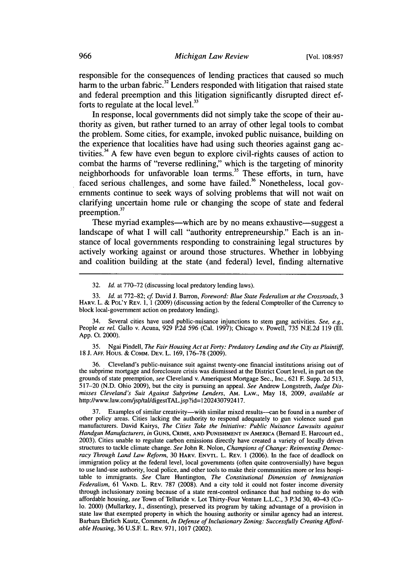responsible for the consequences of lending practices that caused so much harm to the urban fabric.<sup>32</sup> Lenders responded with litigation that raised state and federal preemption and this litigation significantly disrupted direct efforts to regulate at the local level. $33$ 

In response, local governments did not simply take the scope of their authority as given, but rather turned to an array of other legal tools to combat the problem. Some cities, for example, invoked public nuisance, building on the experience that localities have had using such theories against gang activities.<sup>34</sup> A few have even begun to explore civil-rights causes of action to combat the harms of "reverse redlining," which is the targeting of minority neighborhoods for unfavorable loan terms.<sup>35</sup> These efforts, in turn, have neighborhoods challenges, and some have failed.<sup>36</sup> Nonetheless, local governments continue to seek ways of solving problems that will not wait on clarifying uncertain home rule or changing the scope of state and federal preemption.<sup>37</sup>

These myriad examples—which are by no means exhaustive—suggest a landscape of what **I** will call "authority entrepreneurship." Each is an instance of local governments responding to constraining legal structures **by** actively working against or around those structures. Whether in lobbying and coalition building at the state (and federal) level, finding alternative

35. Ngai Pindell, *The Fair Housing Act at Forty: Predatory Lending and the City as Plaintiff,* 18 J. **AFF.** Hous. & CoMM. DEv. L. 169, 176-78 (2009).

36. Cleveland's public-nuisance suit against twenty-one financial institutions arising out of the subprime mortgage and foreclosure crisis was dismissed at the District Court level, in part on the grounds of state preemption, *see* Cleveland v. Ameriquest Mortgage Sec., Inc., 621 F. Supp. 2d 513, 517-20 (N.D. Ohio 2009), but the city is pursuing an appeal. *See* Andrew Longstreth, *Judge Dismisses Cleveland's Suit Against Subprime Lenders,* AM. LAW., May 18, 2009, *available at* http://www.law.com/jsp/tal/digestTAL.jsp?id=1202430792417.

37. Examples of similar creativity—with similar mixed results—can be found in a number of other policy areas. Cities lacking the authority to respond adequately to gun violence sued gun manufacturers. David Kairys, *The Cities Take the Initiative: Public Nuisance Lawsuits against Handgun Manufacturers, in* **GUNS,** CRIME, **AND PUNISHMENT IN** AMERICA (Bernard E. Harcourt ed., 2003). Cities unable to regulate carbon emissions directly have created a variety of locally driven structures to tackle climate change. *See* John R. Nolon, *Champions of Change: Reinventing Democracy Through Land Law Reform,* 30 HARV. **ENVTL.** L. REv. 1 (2006). In the face of deadlock on immigration policy at the federal level, local governments (often quite controversially) have begun to use land-use authority, local police, and other tools to make their communities more or less hospitable to immigrants. *See* Clare Huntington, *The Constitutional Dimension of Immigration Federalism,* 61 **VAND.** L. REV. 787 (2008). And a city told it could not foster income diversity through inclusionary zoning because of a state rent-control ordinance that had nothing to do with affordable housing, *see* Town of Telluride v. Lot Thirty-Four Venture L.L.C., 3 P.3d 30, 40-43 (Colo. 2000) (Mullarkey, J., dissenting), preserved its program by taking advantage of a provision in state law that exempted property in which the housing authority or similar agency had an interest. Barbara Ehrlich Kautz, Comment, *In Defense of Inclusionary Zoning: Successfully Creating Affordable Housing,* 36 U.S.E L. REv. 971, 1017 (2002).

<sup>32.</sup> *Id.* at 770-72 (discussing local predatory lending laws).

<sup>33.</sup> *Id.* at 772-82; *cf.* David J. Barron, *Foreword: Blue State Federalism at the Crossroads, 3* HARV. L. & POL'Y REV. 1, 1 (2009) (discussing action by the federal Comptroller of the Currency to block local-government action on predatory lending).

<sup>34.</sup> Several cities have used public-nuisance injunctions to stem gang activities. *See, e.g.,* People *ex rel.* Gallo v. Acuna, 929 P.2d 596 (Cal. 1997); Chicago v. Powell, 735 N.E.2d 119 (Ill. App. Ct. 2000).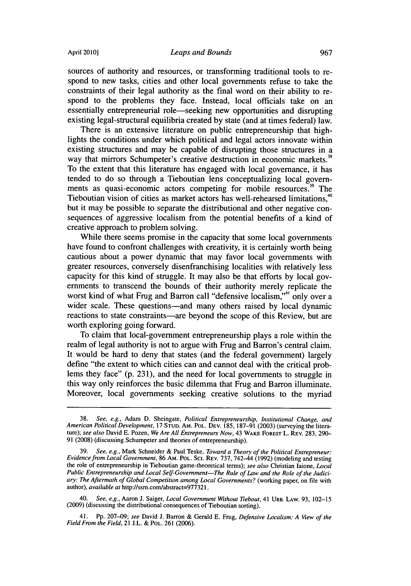sources of authority and resources, or transforming traditional tools to respond to new tasks, cities and other local governments refuse to take the constraints of their legal authority as the final word on their ability to respond to the problems they face. Instead, local officials take on an essentially entrepreneurial role—seeking new opportunities and disrupting existing legal-structural equilibria created by state (and at times federal) law.

There is an extensive literature on public entrepreneurship that highlights the conditions under which political and legal actors innovate within existing structures and may be capable of disrupting those structures in a way that mirrors Schumpeter's creative destruction in economic markets.<sup>38</sup> To the extent that this literature has engaged with local governance, it has tended to do so through a Tieboutian lens conceptualizing local governments as quasi-economic actors competing for mobile resources.<sup>39</sup> The Tieboutian vision of cities as market actors has well-rehearsed limitations.<sup>40</sup> but it may be possible to separate the distributional and other negative consequences of aggressive localism from the potential benefits of a kind of creative approach to problem solving.

While there seems promise in the capacity that some local governments have found to confront challenges with creativity, it is certainly worth being cautious about a power dynamic that may favor local governments with greater resources, conversely disenfranchising localities with relatively less capacity for this kind of struggle. It may also be that efforts by local governments to transcend the bounds of their authority merely replicate the worst kind of what Frug and Barron call "defensive localism."<sup>41</sup> only over a wider scale. These questions—and many others raised by local dynamic reactions to state constraints-are beyond the scope of this Review, but are worth exploring going forward.

To claim that local-government entrepreneurship plays a role within the realm of legal authority is not to argue with Frug and Barron's central claim. It would be hard to deny that states (and the federal government) largely define "the extent to which cities can and cannot deal with the critical problems they face" (p. 231), and the need for local governments to struggle in this way only reinforces the basic dilemma that Frug and Barron illuminate. Moreover, local governments seeking creative solutions to the myriad

40. *See, e.g.,* Aaron J. Saiger, *Local Government Without Tiebout,* 41 URB. LAW. 93, 102-15 (2009) (discussing the distributional consequences of Tieboutian sorting).

41. Pp. 207-09; *see* David J. Barron & Gerald E. Frug, *Defensive Localism: A View of the Field From the Field,* 21 J.L. & POL. 261 (2006).

<sup>38.</sup> *See, e.g.,* Adam **D.** Sheingate, *Political* Entrepreneurship, *Institutional Change, and American Political Development,* 17 **STUD. AM.** POL. **DEV.** 185, 187-91 (2003) (surveying the literature); *see also* David E. Pozen, *We Are All Entrepreneurs Now,* 43 WAKE FOREST L. REv. 283, 290- 91 (2008) (discussing Schumpeter and theories of entrepreneurship).

<sup>39.</sup> *See, e.g.,* Mark Schneider & Paul Teske, *Toward a Theory of the Political Entrepreneur: Evidence from Local Government,* 86 AM. POL. Sci. REV. 737, 742-44 (1992) (modeling and testing the role of entrepreneurship in Tieboutian game-theoretical terms); *see also* Christian Iaione, *Local Public Entrepreneurship and Local Self-Government-The Rule of* Law *and the Role of the Judiciary: The Aftermath of Global Competition among Local Governments?* (working paper, on file with author), *available at* http://ssm.com/abstract=977321.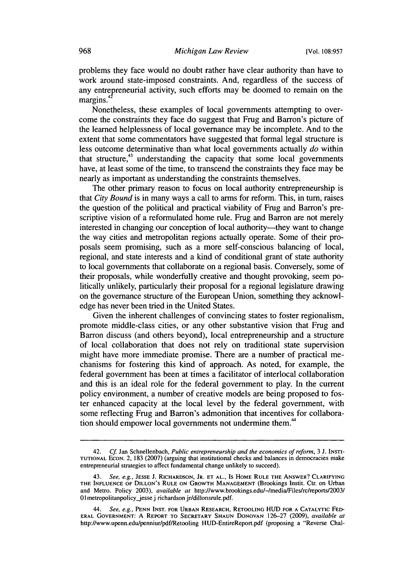problems they face would no doubt rather have clear authority than have to work around state-imposed constraints. And, regardless of the success of any entrepreneurial activity, such efforts may be doomed to remain on the margins.

Nonetheless, these examples of local governments attempting to overcome the constraints they face do suggest that Frug and Barron's picture of the learned helplessness of local governance may be incomplete. And to the extent that some commentators have suggested that formal legal structure is less outcome determinative than what local governments actually *do* within that structure, $43$  understanding the capacity that some local governments have, at least some of the time, to transcend the constraints they face may be nearly as important as understanding the constraints themselves.

The other primary reason to focus on local authority entrepreneurship is that *City* Bound is in many ways a call to arms for reform. This, in turn, raises the question of the political and practical viability of Frug and Barron's prescriptive vision of a reformulated home rule. Frug and Barron are not merely interested in changing our conception of local authority—they want to change the way cities and metropolitan regions actually operate. Some of their proposals seem promising, such as a more self-conscious balancing of local, regional, and state interests and a kind of conditional grant of state authority to local governments that collaborate on a regional basis. Conversely, some of their proposals, while wonderfully creative and thought provoking, seem politically unlikely, particularly their proposal for a regional legislature drawing on the governance structure of the European Union, something they acknowledge has never been tried in the United States.

Given the inherent challenges of convincing states to foster regionalism, promote middle-class cities, or any other substantive vision that Frug and Barron discuss (and others beyond), local entrepreneurship and a structure of local collaboration that does not rely on traditional state supervision might have more immediate promise. There are a number of practical mechanisms for fostering this kind of approach. As noted, for example, the federal government has been at times a facilitator of interlocal collaboration and this is an ideal role for the federal government to play. In the current policy environment, a number of creative models are being proposed to foster enhanced capacity at the local level by the federal government, with some reflecting Frug and Barron's admonition that incentives for collaboration should empower local governments not undermine them.<sup>44</sup>

<sup>42.</sup> *Cf* Jan Schnellenbach, *Public entrepreneurship and the economics of reform,* 3 J. INST-**TUTIONAL** ECON. 2, 183 (2007) (arguing that institutional checks and balances in democracies make entrepreneurial strategies to affect fundamental change unlikely to succeed).

<sup>43.</sup> *See, e.g.,* **JESSE** J. RICHARDSON, JR. **ET AL.,** Is HOME RULE **THE** ANSWER? CLARIFYING THE **INFLUENCE** OF DILLON'S RULE **ON** GROWTH **MANAGEMENT** (Brookings Instit. Ctr. on Urban and Metro. Policy 2003), *available at* http://www.brookings.edul-/medialFiles/rc/reportsl2003/ 01 metropolitanpolicy\_jesse j richardson jr/dillonsrule.pdf.

<sup>44.</sup> *See, e.g.,* **PENN INST. FOR URBAN RESEARCH,** RETOOLING **HUD FOR A CATALYTIC FED-ERAL GOVERNMENT:** A **REPORT TO SECRETARY SHAUN DONOVAN** 126-27 (2009), *available at* http://www.upenn.edu/penniur/pdf/Retooling HUD-EntireReport.pdf (proposing a "Reverse Chal-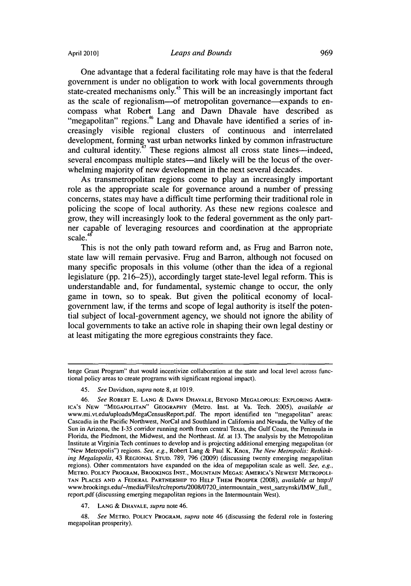One advantage that a federal facilitating role may have is that the federal government is under no obligation to work with local governments through state-created mechanisms only.<sup>45</sup> This will be an increasingly important fact as the scale of regionalism-of metropolitan governance-expands to encompass what Robert Lang and Dawn Dhavale have described as "megapolitan" regions.<sup>46</sup> Lang and Dhavale have identified a series of increasingly visible regional clusters of continuous and interrelated development, forming vast urban networks linked by common infrastructure and cultural identity.<sup> $47$ </sup> These regions almost all cross state lines—indeed, several encompass multiple states—and likely will be the locus of the overwhelming majority of new development in the next several decades.

As transmetropolitan regions come to play an increasingly important role as the appropriate scale for governance around a number of pressing concerns, states may have a difficult time performing their traditional role in policing the scope of local authority. As these new regions coalesce and grow, they will increasingly look to the federal government as the only partner capable of leveraging resources and coordination at the appropriate scale.<sup>48</sup>

This is not the only path toward reform and, as Frug and Barron note, state law will remain pervasive. Frug and Barron, although not focused on many specific proposals in this volume (other than the idea of a regional legislature (pp. 216-25)), accordingly target state-level legal reform. This is understandable and, for fundamental, systemic change to occur, the only game in town, so to speak. But given the political economy of localgovernment law, if the terms and scope of legal authority is itself the potential subject of local-government agency, we should not ignore the ability of local governments to take an active role in shaping their own legal destiny or at least mitigating the more egregious constraints they face.

47. LANG & **DHAVALE,** *supra* note 46.

48. *See* METRO. POLICY PROGRAM, *supra* note 46 (discussing the federal role in fostering megapolitan prosperity).

lenge Grant Program" that would incentivize collaboration at the state and local level across functional policy areas to create programs with significant regional impact).

<sup>45.</sup> *See* Davidson, supra note 8, at **1019.**

<sup>46.</sup> *See* ROBERT E. LANG & DAWN **DHAVALE,** BEYOND MEGALOPOLIS: EXPLORING AMER-ICA'S **NEW "MEGAPOLITAN" GEOGRAPHY** (Metro. Inst. at Va. Tech. 2005), *available at* www.mi.vt.edu/uploads/MegaCensusReport.pdf. The report identified ten "megapolitan" areas: Cascadia in the Pacific Northwest, NorCal and Southland in California and Nevada, the Valley of the Sun in Arizona, the 1-35 corridor running north from central Texas, the Gulf Coast, the Peninsula in Florida, the Piedmont, the Midwest, and the Northeast. *Id.* at 13. The analysis by the Metropolitan Institute at Virginia Tech continues to develop and is projecting additional emerging megapolitan (or "New Metropolis") regions. *See, e.g.,* Robert Lang & Paul K. Knox, *The New Metropolis: Rethinking Megalopolis,* 43 **REGIONAL STUD.** 789, 796 (2009) (discussing twenty emerging megapolitan regions). Other commentators have expanded on the idea of megapolitan scale as well. *See, e.g.,* METRO. POLICY PROGRAM, BROOKINGS INST., MOUNTAIN MEGAS: AMERICA'S **NEWEST** METROPOLI-**TAN PLACES AND A** FEDERAL PARTNERSHIP TO HELP THEM PROSPER (2008), *available at* http:// www.brookings.edu/-/media/Files/rc/reports/2008/0720\_intermountain-west\_sarzynski/IMW full\_ report.pdf (discussing emerging megapolitan regions in the Intermountain West).